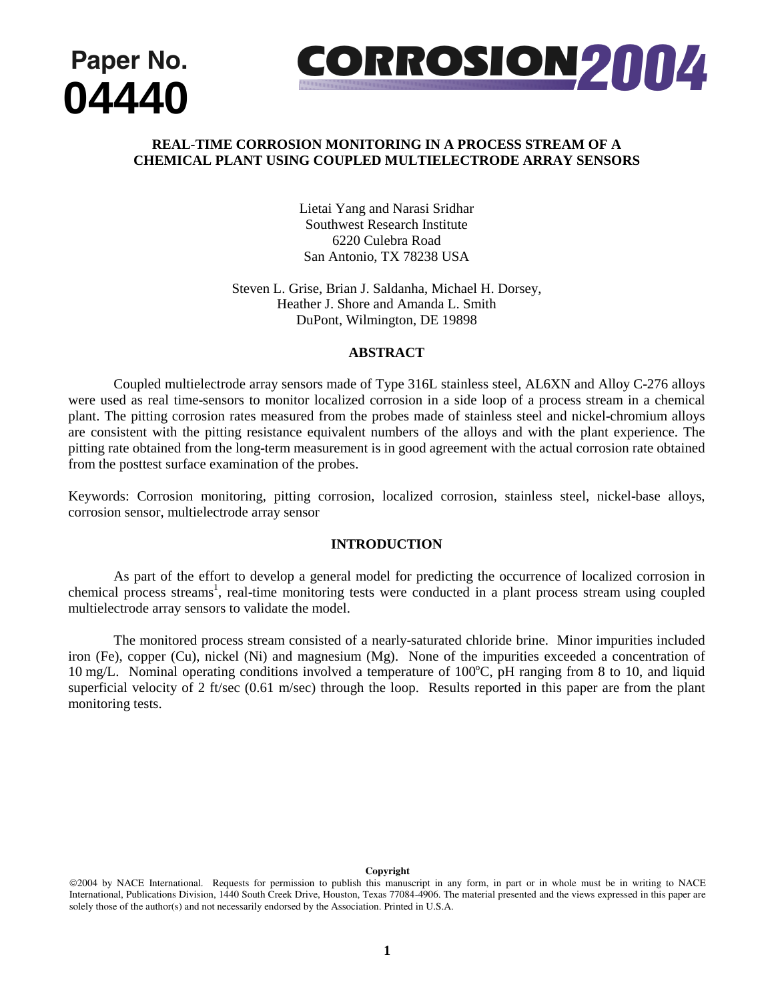



# **REAL-TIME CORROSION MONITORING IN A PROCESS STREAM OF A CHEMICAL PLANT USING COUPLED MULTIELECTRODE ARRAY SENSORS**

Lietai Yang and Narasi Sridhar Southwest Research Institute 6220 Culebra Road San Antonio, TX 78238 USA

Steven L. Grise, Brian J. Saldanha, Michael H. Dorsey, Heather J. Shore and Amanda L. Smith DuPont, Wilmington, DE 19898

### **ABSTRACT**

Coupled multielectrode array sensors made of Type 316L stainless steel, AL6XN and Alloy C-276 alloys were used as real time-sensors to monitor localized corrosion in a side loop of a process stream in a chemical plant. The pitting corrosion rates measured from the probes made of stainless steel and nickel-chromium alloys are consistent with the pitting resistance equivalent numbers of the alloys and with the plant experience. The pitting rate obtained from the long-term measurement is in good agreement with the actual corrosion rate obtained from the posttest surface examination of the probes.

Keywords: Corrosion monitoring, pitting corrosion, localized corrosion, stainless steel, nickel-base alloys, corrosion sensor, multielectrode array sensor

### **INTRODUCTION**

As part of the effort to develop a general model for predicting the occurrence of localized corrosion in chemical process streams<sup>1</sup>, real-time monitoring tests were conducted in a plant process stream using coupled multielectrode array sensors to validate the model.

 The monitored process stream consisted of a nearly-saturated chloride brine. Minor impurities included iron (Fe), copper (Cu), nickel (Ni) and magnesium (Mg). None of the impurities exceeded a concentration of 10 mg/L. Nominal operating conditions involved a temperature of 100°C, pH ranging from 8 to 10, and liquid superficial velocity of 2 ft/sec (0.61 m/sec) through the loop. Results reported in this paper are from the plant monitoring tests.

#### **Copyright**

<sup>©2004</sup> by NACE International. Requests for permission to publish this manuscript in any form, in part or in whole must be in writing to NACE International, Publications Division, 1440 South Creek Drive, Houston, Texas 77084-4906. The material presented and the views expressed in this paper are solely those of the author(s) and not necessarily endorsed by the Association. Printed in U.S.A.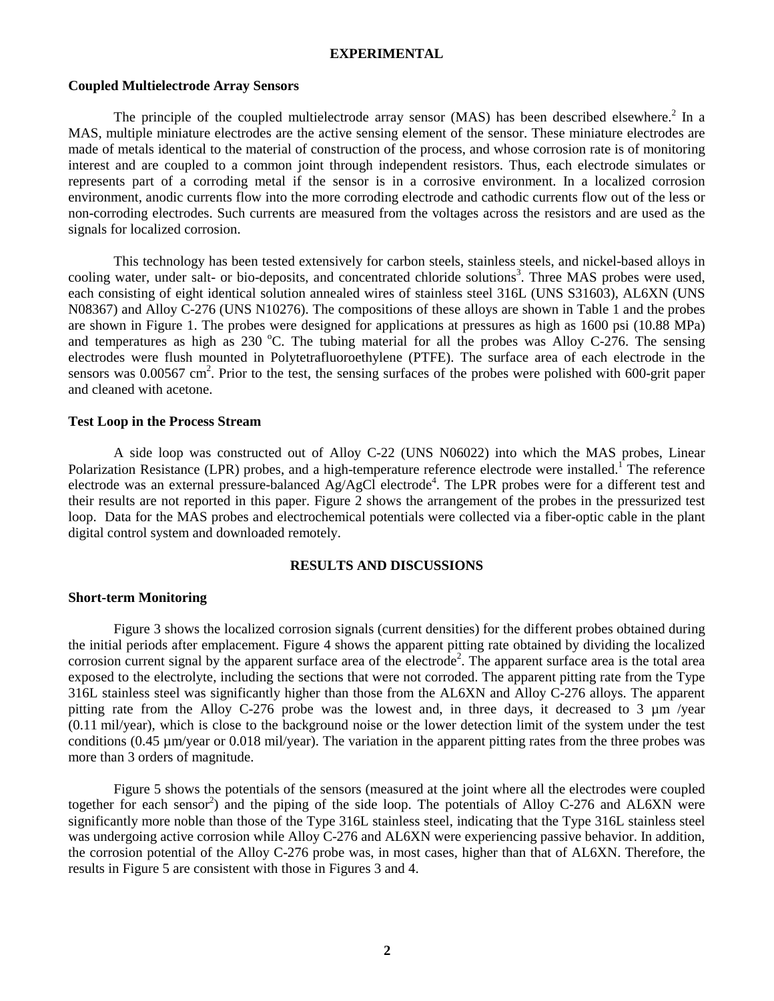### **EXPERIMENTAL**

### **Coupled Multielectrode Array Sensors**

The principle of the coupled multielectrode array sensor (MAS) has been described elsewhere.<sup>2</sup> In a MAS, multiple miniature electrodes are the active sensing element of the sensor. These miniature electrodes are made of metals identical to the material of construction of the process, and whose corrosion rate is of monitoring interest and are coupled to a common joint through independent resistors. Thus, each electrode simulates or represents part of a corroding metal if the sensor is in a corrosive environment. In a localized corrosion environment, anodic currents flow into the more corroding electrode and cathodic currents flow out of the less or non-corroding electrodes. Such currents are measured from the voltages across the resistors and are used as the signals for localized corrosion.

 This technology has been tested extensively for carbon steels, stainless steels, and nickel-based alloys in cooling water, under salt- or bio-deposits, and concentrated chloride solutions<sup>3</sup>. Three MAS probes were used, each consisting of eight identical solution annealed wires of stainless steel 316L (UNS S31603), AL6XN (UNS N08367) and Alloy C-276 (UNS N10276). The compositions of these alloys are shown in Table 1 and the probes are shown in Figure 1. The probes were designed for applications at pressures as high as 1600 psi (10.88 MPa) and temperatures as high as  $230 \degree C$ . The tubing material for all the probes was Alloy C-276. The sensing electrodes were flush mounted in Polytetrafluoroethylene (PTFE). The surface area of each electrode in the sensors was 0.00567 cm<sup>2</sup>. Prior to the test, the sensing surfaces of the probes were polished with 600-grit paper and cleaned with acetone.

### **Test Loop in the Process Stream**

A side loop was constructed out of Alloy C-22 (UNS N06022) into which the MAS probes, Linear Polarization Resistance (LPR) probes, and a high-temperature reference electrode were installed.<sup>1</sup> The reference electrode was an external pressure-balanced Ag/AgCl electrode<sup>4</sup>. The LPR probes were for a different test and their results are not reported in this paper. Figure 2 shows the arrangement of the probes in the pressurized test loop. Data for the MAS probes and electrochemical potentials were collected via a fiber-optic cable in the plant digital control system and downloaded remotely.

## **RESULTS AND DISCUSSIONS**

### **Short-term Monitoring**

Figure 3 shows the localized corrosion signals (current densities) for the different probes obtained during the initial periods after emplacement. Figure 4 shows the apparent pitting rate obtained by dividing the localized corrosion current signal by the apparent surface area of the electrode<sup>2</sup>. The apparent surface area is the total area exposed to the electrolyte, including the sections that were not corroded. The apparent pitting rate from the Type 316L stainless steel was significantly higher than those from the AL6XN and Alloy C-276 alloys. The apparent pitting rate from the Alloy C-276 probe was the lowest and, in three days, it decreased to 3  $\mu$ m /year (0.11 mil/year), which is close to the background noise or the lower detection limit of the system under the test conditions (0.45 µm/year or 0.018 mil/year). The variation in the apparent pitting rates from the three probes was more than 3 orders of magnitude.

Figure 5 shows the potentials of the sensors (measured at the joint where all the electrodes were coupled together for each sensor<sup>2</sup>) and the piping of the side loop. The potentials of Alloy C-276 and AL6XN were significantly more noble than those of the Type 316L stainless steel, indicating that the Type 316L stainless steel was undergoing active corrosion while Alloy C-276 and AL6XN were experiencing passive behavior. In addition, the corrosion potential of the Alloy C-276 probe was, in most cases, higher than that of AL6XN. Therefore, the results in Figure 5 are consistent with those in Figures 3 and 4.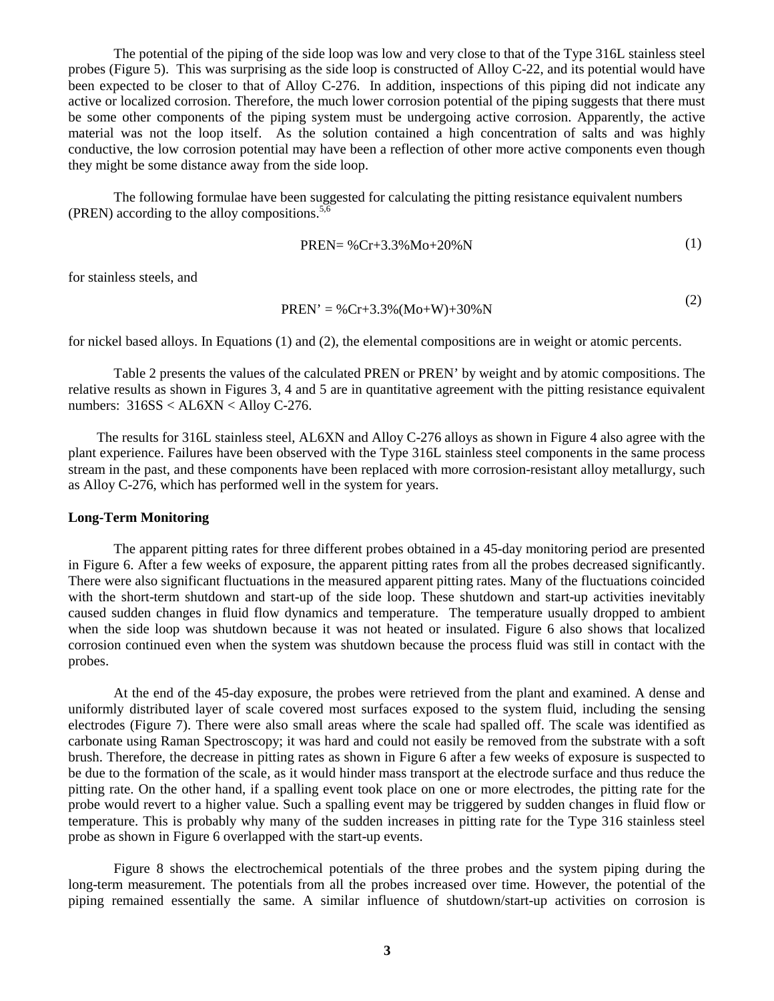The potential of the piping of the side loop was low and very close to that of the Type 316L stainless steel probes (Figure 5). This was surprising as the side loop is constructed of Alloy C-22, and its potential would have been expected to be closer to that of Alloy C-276. In addition, inspections of this piping did not indicate any active or localized corrosion. Therefore, the much lower corrosion potential of the piping suggests that there must be some other components of the piping system must be undergoing active corrosion. Apparently, the active material was not the loop itself. As the solution contained a high concentration of salts and was highly conductive, the low corrosion potential may have been a reflection of other more active components even though they might be some distance away from the side loop.

The following formulae have been suggested for calculating the pitting resistance equivalent numbers (PREN) according to the alloy compositions.<sup>5</sup>

$$
PREN = \%Cr + 3.3\%Mo + 20\%N
$$
 (1)

for stainless steels, and

$$
PREN' = \%Cr + 3.3\%(Mo + W) + 30\%N
$$
 (2)

for nickel based alloys. In Equations (1) and (2), the elemental compositions are in weight or atomic percents.

Table 2 presents the values of the calculated PREN or PREN' by weight and by atomic compositions. The relative results as shown in Figures 3, 4 and 5 are in quantitative agreement with the pitting resistance equivalent numbers: 316SS < AL6XN < Alloy C-276.

 The results for 316L stainless steel, AL6XN and Alloy C-276 alloys as shown in Figure 4 also agree with the plant experience. Failures have been observed with the Type 316L stainless steel components in the same process stream in the past, and these components have been replaced with more corrosion-resistant alloy metallurgy, such as Alloy C-276, which has performed well in the system for years.

### **Long-Term Monitoring**

The apparent pitting rates for three different probes obtained in a 45-day monitoring period are presented in Figure 6. After a few weeks of exposure, the apparent pitting rates from all the probes decreased significantly. There were also significant fluctuations in the measured apparent pitting rates. Many of the fluctuations coincided with the short-term shutdown and start-up of the side loop. These shutdown and start-up activities inevitably caused sudden changes in fluid flow dynamics and temperature. The temperature usually dropped to ambient when the side loop was shutdown because it was not heated or insulated. Figure 6 also shows that localized corrosion continued even when the system was shutdown because the process fluid was still in contact with the probes.

At the end of the 45-day exposure, the probes were retrieved from the plant and examined. A dense and uniformly distributed layer of scale covered most surfaces exposed to the system fluid, including the sensing electrodes (Figure 7). There were also small areas where the scale had spalled off. The scale was identified as carbonate using Raman Spectroscopy; it was hard and could not easily be removed from the substrate with a soft brush. Therefore, the decrease in pitting rates as shown in Figure 6 after a few weeks of exposure is suspected to be due to the formation of the scale, as it would hinder mass transport at the electrode surface and thus reduce the pitting rate. On the other hand, if a spalling event took place on one or more electrodes, the pitting rate for the probe would revert to a higher value. Such a spalling event may be triggered by sudden changes in fluid flow or temperature. This is probably why many of the sudden increases in pitting rate for the Type 316 stainless steel probe as shown in Figure 6 overlapped with the start-up events.

Figure 8 shows the electrochemical potentials of the three probes and the system piping during the long-term measurement. The potentials from all the probes increased over time. However, the potential of the piping remained essentially the same. A similar influence of shutdown/start-up activities on corrosion is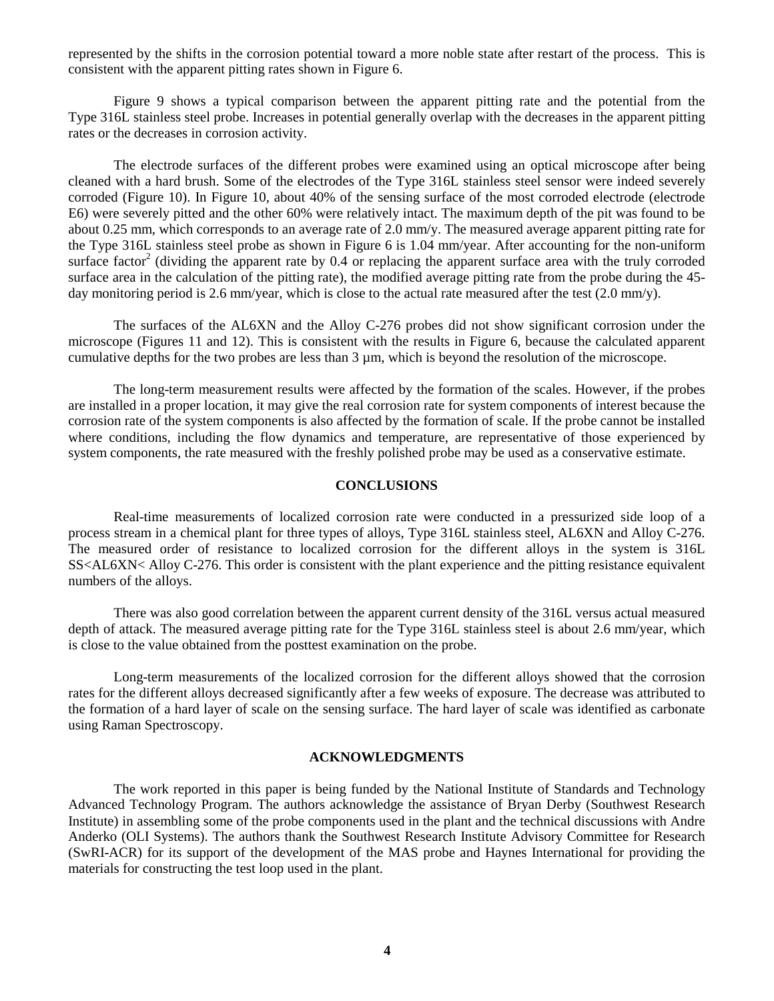represented by the shifts in the corrosion potential toward a more noble state after restart of the process. This is consistent with the apparent pitting rates shown in Figure 6.

Figure 9 shows a typical comparison between the apparent pitting rate and the potential from the Type 316L stainless steel probe. Increases in potential generally overlap with the decreases in the apparent pitting rates or the decreases in corrosion activity.

The electrode surfaces of the different probes were examined using an optical microscope after being cleaned with a hard brush. Some of the electrodes of the Type 316L stainless steel sensor were indeed severely corroded (Figure 10). In Figure 10, about 40% of the sensing surface of the most corroded electrode (electrode E6) were severely pitted and the other 60% were relatively intact. The maximum depth of the pit was found to be about 0.25 mm, which corresponds to an average rate of 2.0 mm/y. The measured average apparent pitting rate for the Type 316L stainless steel probe as shown in Figure 6 is 1.04 mm/year. After accounting for the non-uniform surface factor<sup>2</sup> (dividing the apparent rate by 0.4 or replacing the apparent surface area with the truly corroded surface area in the calculation of the pitting rate), the modified average pitting rate from the probe during the 45 day monitoring period is 2.6 mm/year, which is close to the actual rate measured after the test (2.0 mm/y).

The surfaces of the AL6XN and the Alloy C-276 probes did not show significant corrosion under the microscope (Figures 11 and 12). This is consistent with the results in Figure 6, because the calculated apparent cumulative depths for the two probes are less than 3 µm, which is beyond the resolution of the microscope.

The long-term measurement results were affected by the formation of the scales. However, if the probes are installed in a proper location, it may give the real corrosion rate for system components of interest because the corrosion rate of the system components is also affected by the formation of scale. If the probe cannot be installed where conditions, including the flow dynamics and temperature, are representative of those experienced by system components, the rate measured with the freshly polished probe may be used as a conservative estimate.

# **CONCLUSIONS**

Real-time measurements of localized corrosion rate were conducted in a pressurized side loop of a process stream in a chemical plant for three types of alloys, Type 316L stainless steel, AL6XN and Alloy C-276. The measured order of resistance to localized corrosion for the different alloys in the system is 316L SS<AL6XN< Alloy C-276. This order is consistent with the plant experience and the pitting resistance equivalent numbers of the alloys.

 There was also good correlation between the apparent current density of the 316L versus actual measured depth of attack. The measured average pitting rate for the Type 316L stainless steel is about 2.6 mm/year, which is close to the value obtained from the posttest examination on the probe.

Long-term measurements of the localized corrosion for the different alloys showed that the corrosion rates for the different alloys decreased significantly after a few weeks of exposure. The decrease was attributed to the formation of a hard layer of scale on the sensing surface. The hard layer of scale was identified as carbonate using Raman Spectroscopy.

### **ACKNOWLEDGMENTS**

The work reported in this paper is being funded by the National Institute of Standards and Technology Advanced Technology Program. The authors acknowledge the assistance of Bryan Derby (Southwest Research Institute) in assembling some of the probe components used in the plant and the technical discussions with Andre Anderko (OLI Systems). The authors thank the Southwest Research Institute Advisory Committee for Research (SwRI-ACR) for its support of the development of the MAS probe and Haynes International for providing the materials for constructing the test loop used in the plant.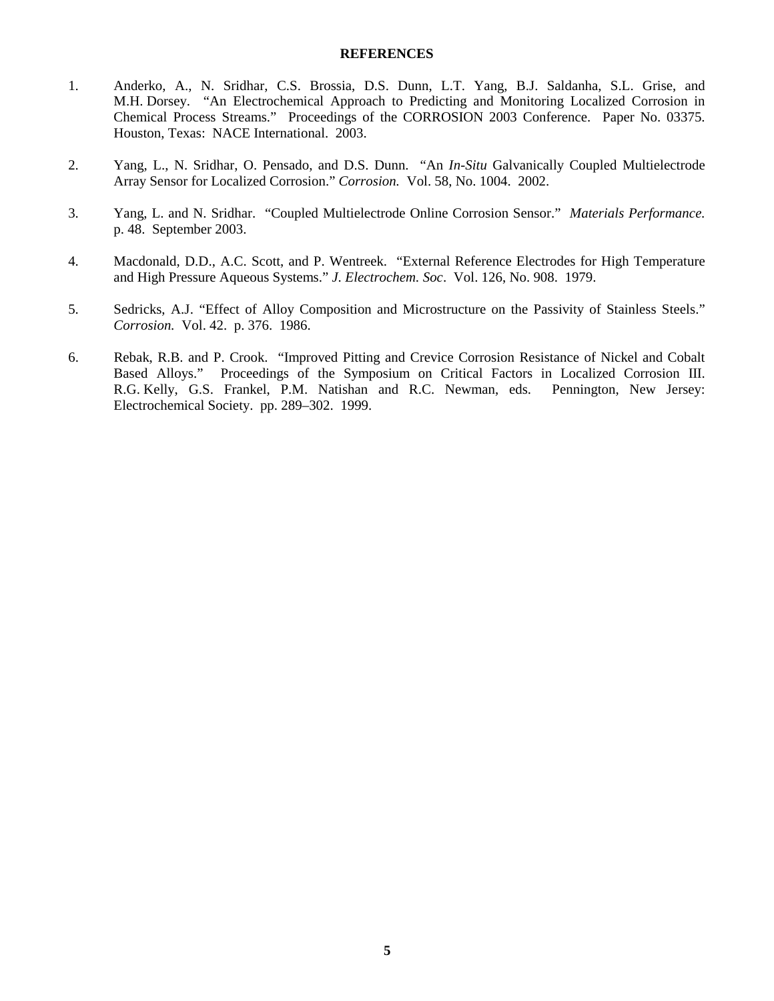### **REFERENCES**

- 1. Anderko, A., N. Sridhar, C.S. Brossia, D.S. Dunn, L.T. Yang, B.J. Saldanha, S.L. Grise, and M.H. Dorsey. "An Electrochemical Approach to Predicting and Monitoring Localized Corrosion in Chemical Process Streams." Proceedings of the CORROSION 2003 Conference. Paper No. 03375. Houston, Texas: NACE International. 2003.
- 2. Yang, L., N. Sridhar, O. Pensado, and D.S. Dunn. "An *In-Situ* Galvanically Coupled Multielectrode Array Sensor for Localized Corrosion." *Corrosion.* Vol. 58, No. 1004. 2002.
- 3. Yang, L. and N. Sridhar. "Coupled Multielectrode Online Corrosion Sensor." *Materials Performance.* p. 48. September 2003.
- 4. Macdonald, D.D., A.C. Scott, and P. Wentreek. "External Reference Electrodes for High Temperature and High Pressure Aqueous Systems." *J. Electrochem. Soc*. Vol. 126, No. 908. 1979.
- 5. Sedricks, A.J. "Effect of Alloy Composition and Microstructure on the Passivity of Stainless Steels." *Corrosion.* Vol. 42. p. 376. 1986.
- 6. Rebak, R.B. and P. Crook. "Improved Pitting and Crevice Corrosion Resistance of Nickel and Cobalt Based Alloys." Proceedings of the Symposium on Critical Factors in Localized Corrosion III. R.G. Kelly, G.S. Frankel, P.M. Natishan and R.C. Newman, eds. Pennington, New Jersey: Electrochemical Society. pp. 289–302. 1999.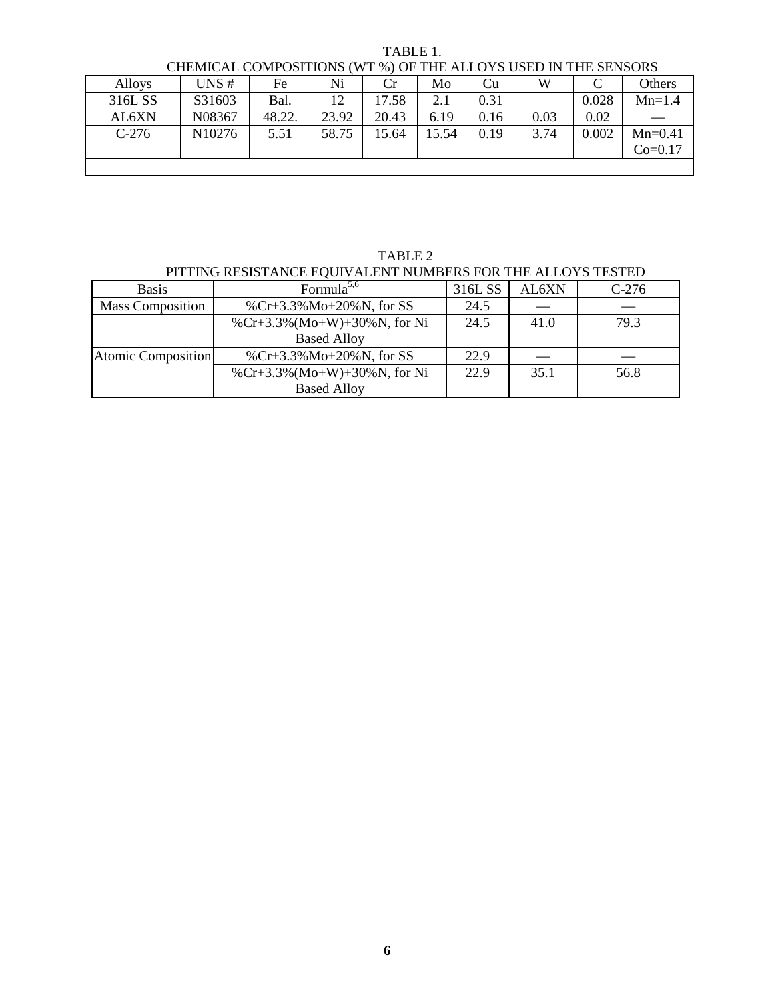| CHEMICAL COMPOSITIONS (WT %) OF THE ALLOYS USED IN THE SENSORS |                    |        |       |       |       |      |      |       |           |  |
|----------------------------------------------------------------|--------------------|--------|-------|-------|-------|------|------|-------|-----------|--|
| <b>Alloys</b>                                                  | UNS#               | Fe     | Ni    | Cr    | Mo    | Cu   | W    |       | Others    |  |
| 316L SS                                                        | S31603             | Bal.   | 12    | 17.58 | 2.1   | 0.31 |      | 0.028 | $Mn=1.4$  |  |
| AL6XN                                                          | N08367             | 48.22. | 23.92 | 20.43 | 6.19  | 0.16 | 0.03 | 0.02  |           |  |
| $C-276$                                                        | N <sub>10276</sub> | 5.51   | 58.75 | 15.64 | 15.54 | 0.19 | 3.74 | 0.002 | $Mn=0.41$ |  |
|                                                                |                    |        |       |       |       |      |      |       | $Co=0.17$ |  |
|                                                                |                    |        |       |       |       |      |      |       |           |  |

TABLE 1.

TABLE 2 PITTING RESISTANCE EQUIVALENT NUMBERS FOR THE ALLOYS TESTED

| <b>Basis</b>            | Formula $5,6$               | 316L SS | AL6XN | $C-276$ |
|-------------------------|-----------------------------|---------|-------|---------|
| <b>Mass Composition</b> | %Cr+3.3%Mo+20%N, for SS     | 24.5    |       |         |
|                         | %Cr+3.3%(Mo+W)+30%N, for Ni | 24.5    | 41.0  | 79.3    |
|                         | <b>Based Alloy</b>          |         |       |         |
| Atomic Composition      | %Cr+3.3%Mo+20%N, for SS     | 22.9    |       |         |
|                         | %Cr+3.3%(Mo+W)+30%N, for Ni | 22.9    | 35.1  | 56.8    |
|                         | <b>Based Alloy</b>          |         |       |         |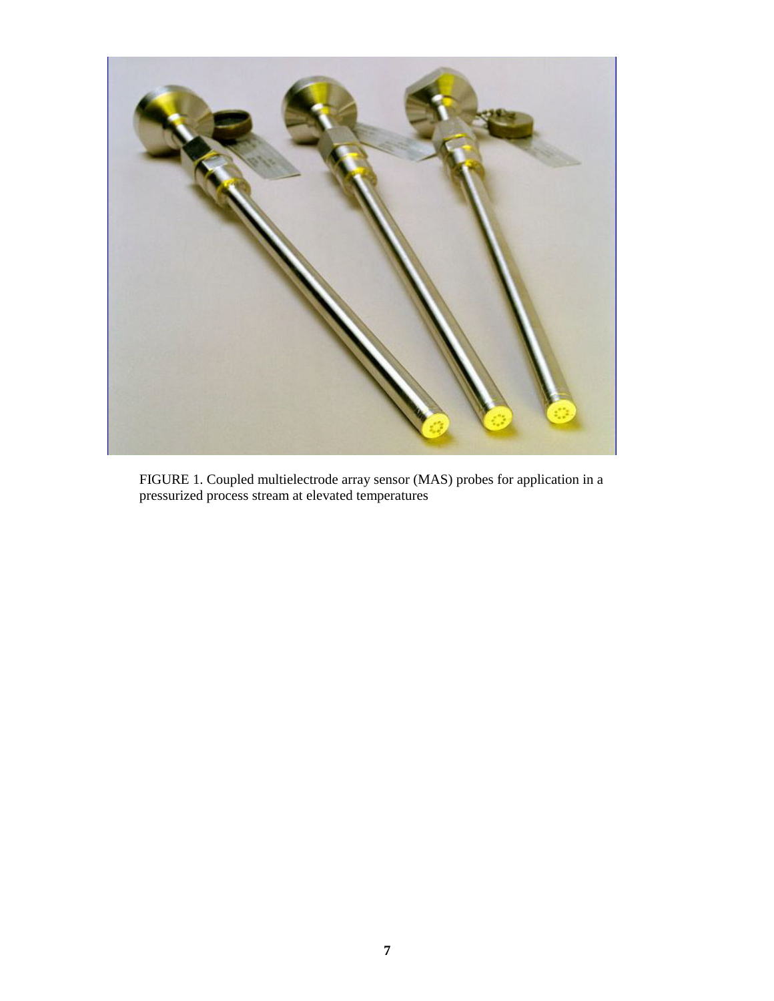

FIGURE 1. Coupled multielectrode array sensor (MAS) probes for application in a pressurized process stream at elevated temperatures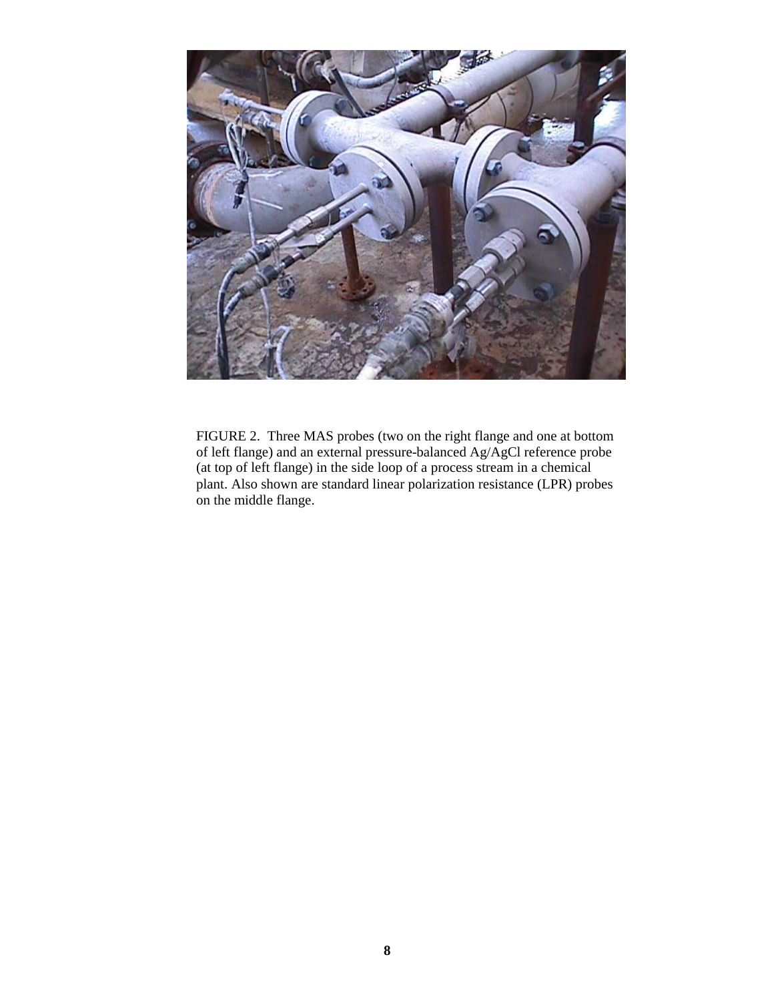

FIGURE 2. Three MAS probes (two on the right flange and one at bottom of left flange) and an external pressure-balanced Ag/AgCl reference probe (at top of left flange) in the side loop of a process stream in a chemical plant. Also shown are standard linear polarization resistance (LPR) probes on the middle flange.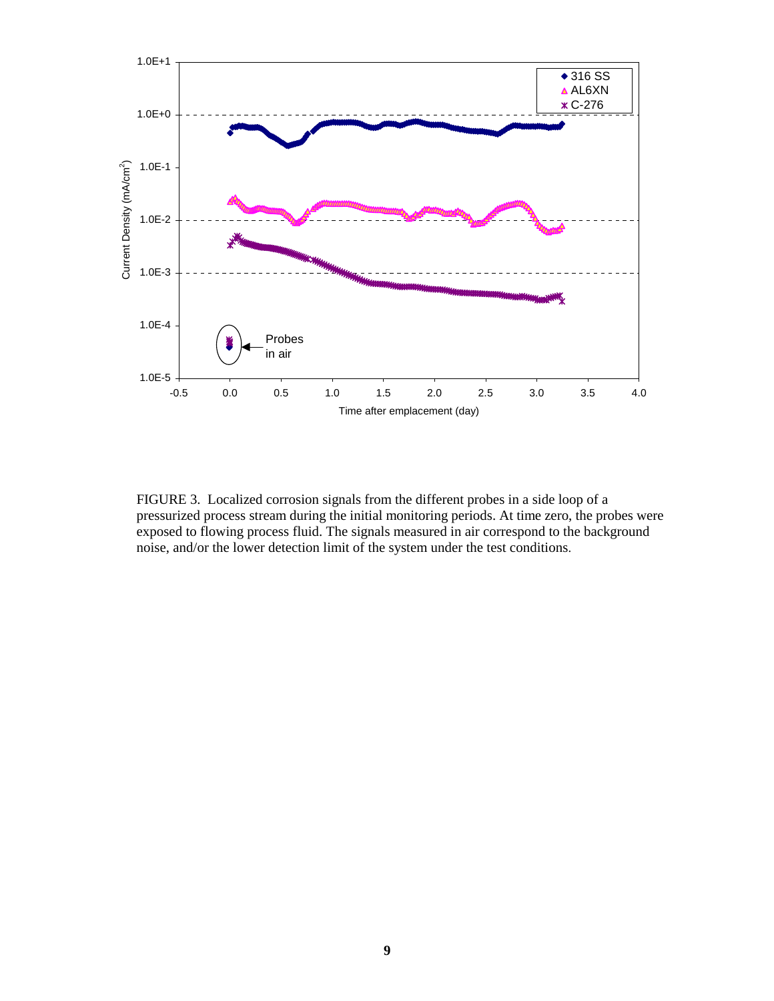

FIGURE 3. Localized corrosion signals from the different probes in a side loop of a pressurized process stream during the initial monitoring periods. At time zero, the probes were exposed to flowing process fluid. The signals measured in air correspond to the background noise, and/or the lower detection limit of the system under the test conditions.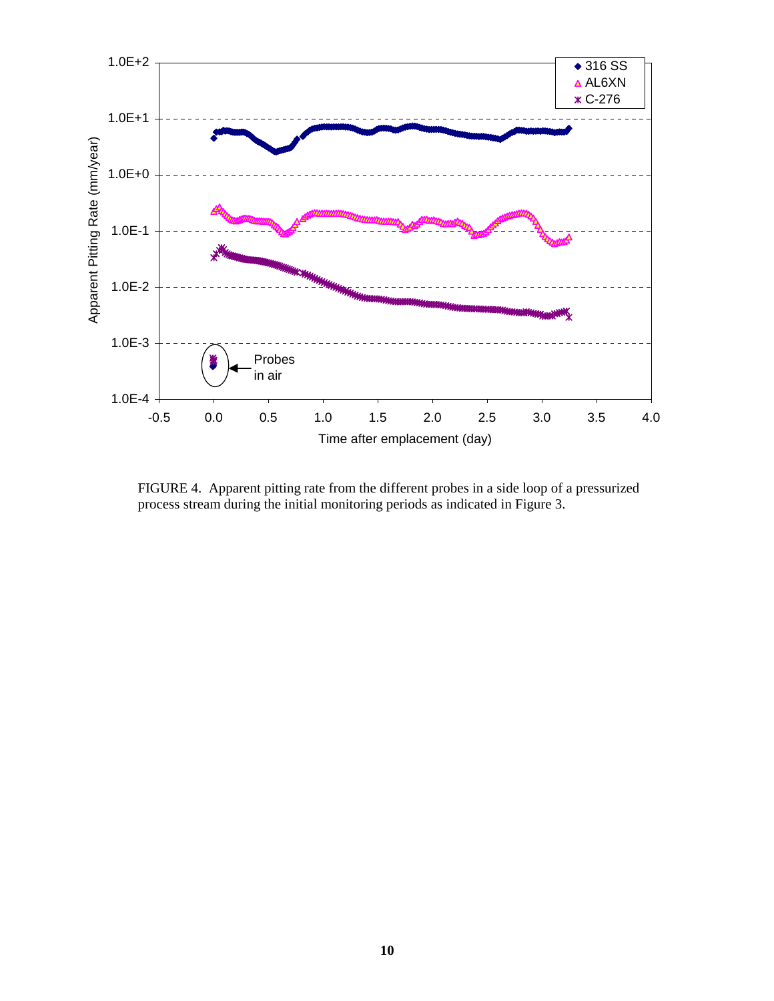

FIGURE 4. Apparent pitting rate from the different probes in a side loop of a pressurized process stream during the initial monitoring periods as indicated in Figure 3.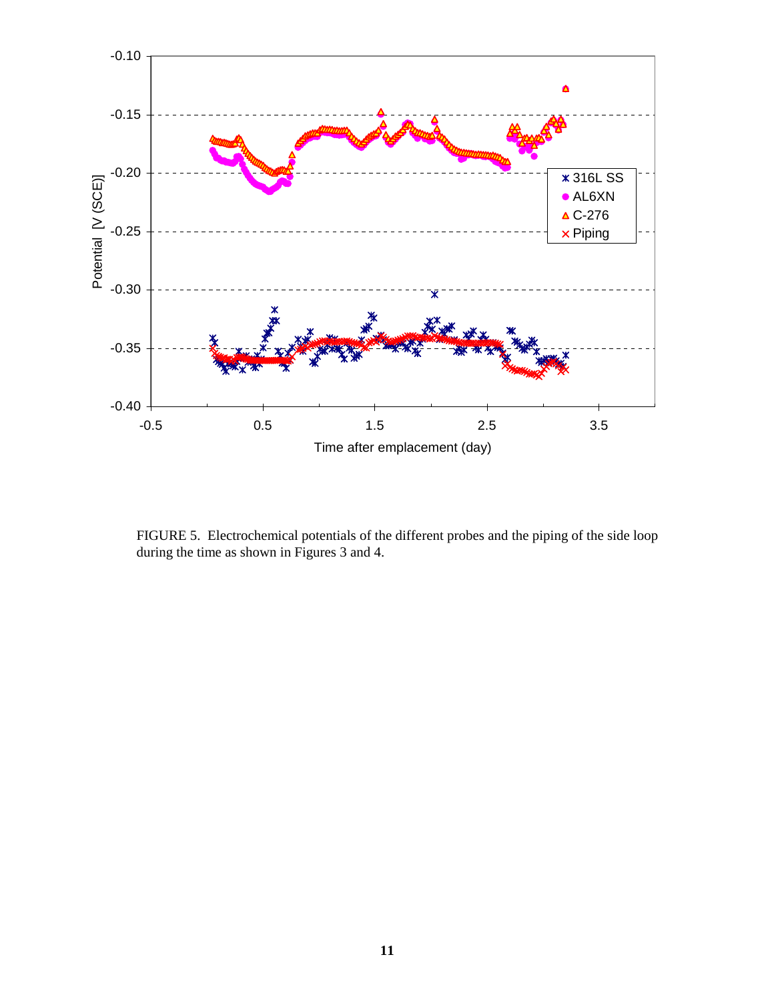

FIGURE 5. Electrochemical potentials of the different probes and the piping of the side loop during the time as shown in Figures 3 and 4.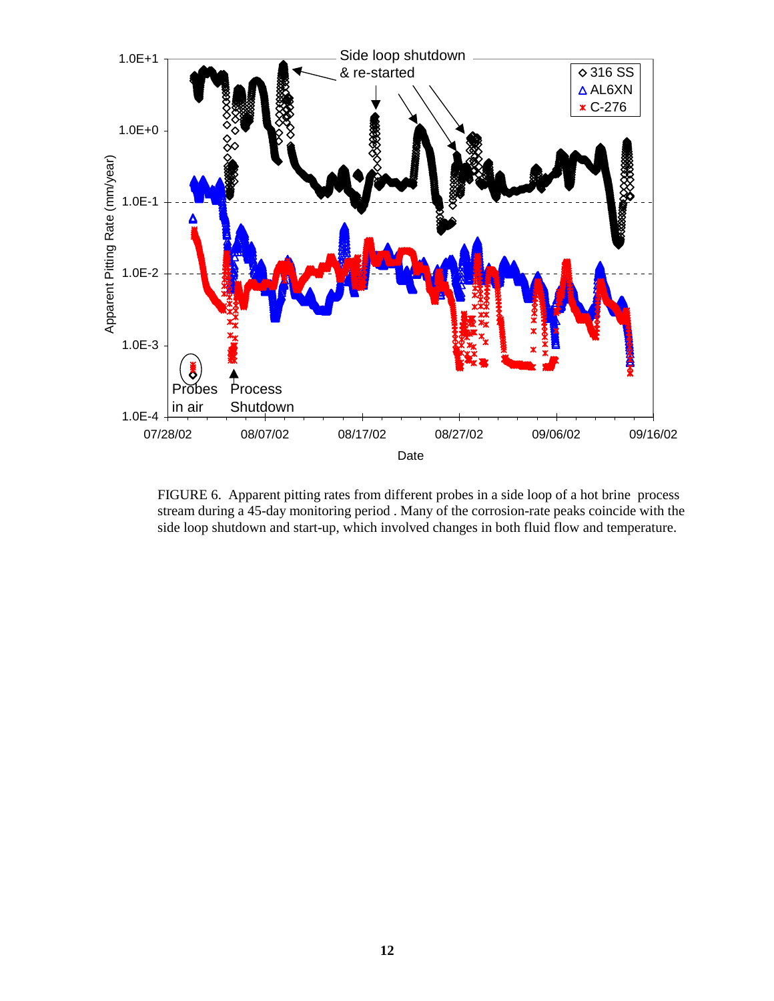

FIGURE 6. Apparent pitting rates from different probes in a side loop of a hot brine process stream during a 45-day monitoring period . Many of the corrosion-rate peaks coincide with the side loop shutdown and start-up, which involved changes in both fluid flow and temperature.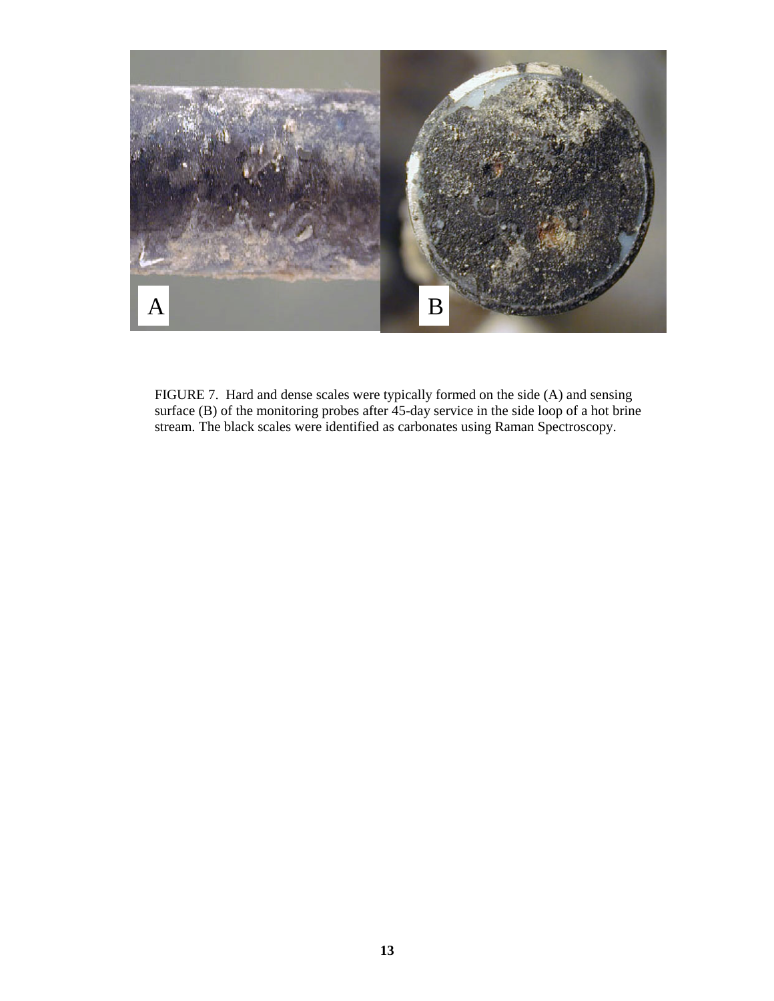

FIGURE 7. Hard and dense scales were typically formed on the side (A) and sensing surface (B) of the monitoring probes after  $45$ -day service in the side loop of a hot brine stream. The black scales were identified as carbonates using Raman Spectroscopy.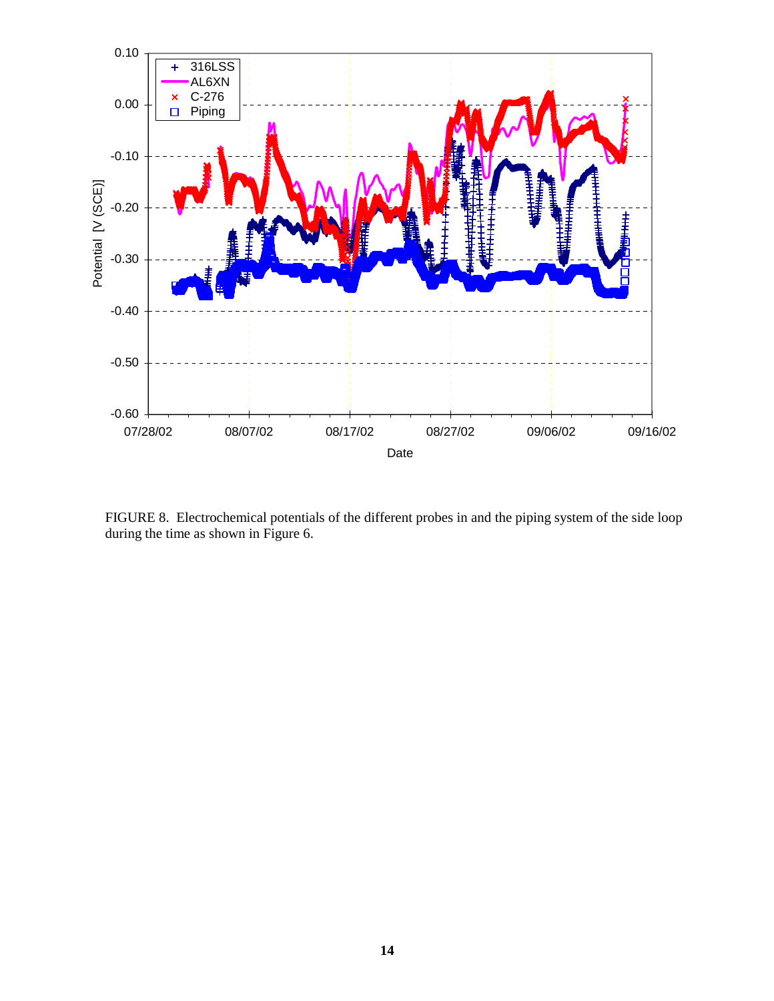

FIGURE 8. Electrochemical potentials of the different probes in and the piping system of the side loop during the time as shown in Figure 6.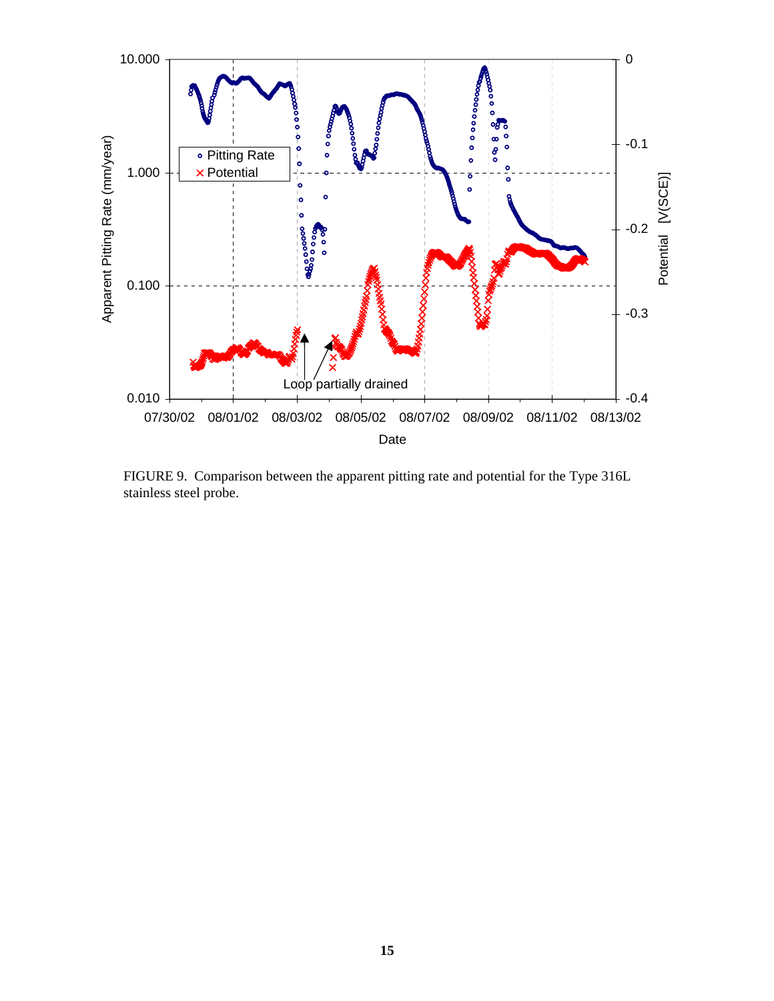

FIGURE 9. Comparison between the apparent pitting rate and potential for the Type 316L stainless steel probe.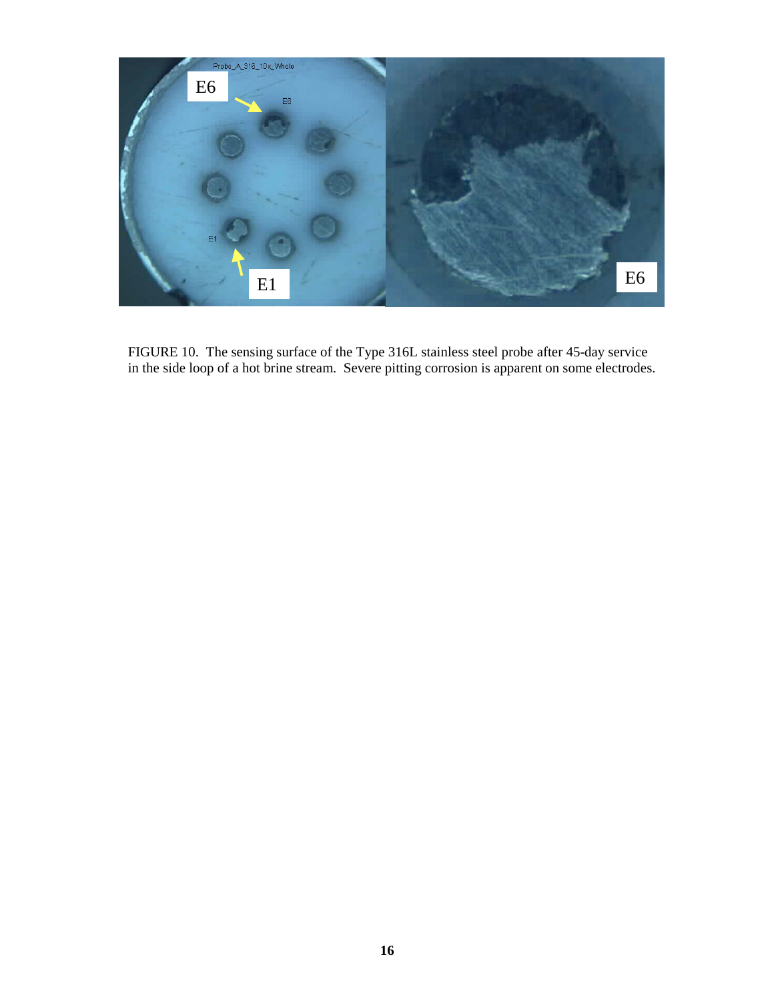

FIGURE 10. The sensing surface of the Type 316L stainless steel probe after 45-day service in the side loop of a hot brine stream. Severe pitting corrosion is apparent on some electrodes.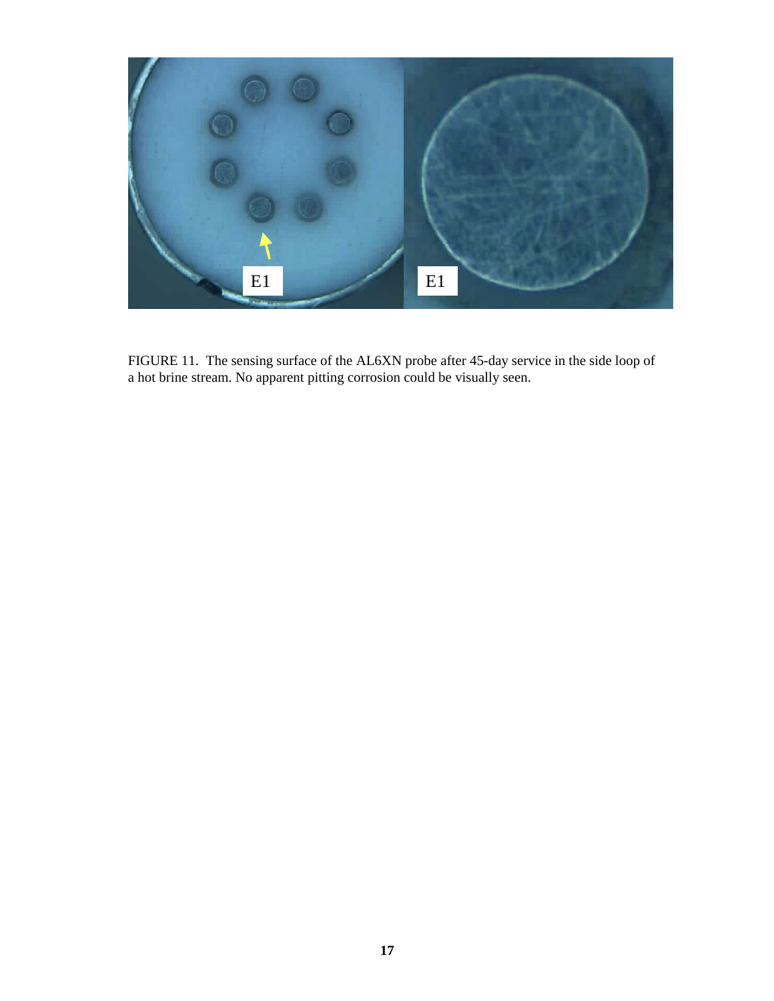

FIGURE 11. The sensing surface of the AL6XN probe after 45-day service in the side loop of a hot brine stream. No apparent pitting corrosion could be visually seen.